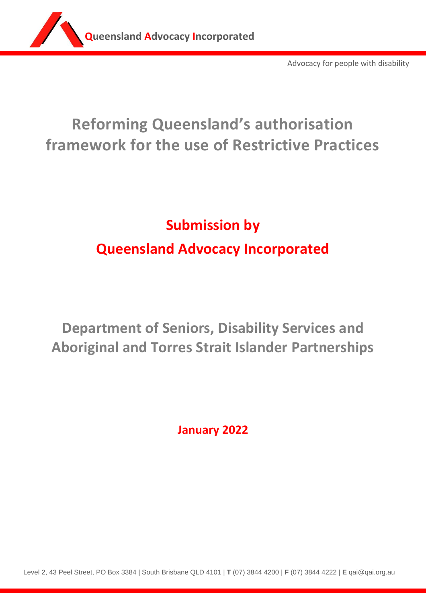

Advocacy for people with disability

# **Reforming Queensland's authorisation framework for the use of Restrictive Practices**

# **Submission by Queensland Advocacy Incorporated**

**Department of Seniors, Disability Services and Aboriginal and Torres Strait Islander Partnerships**

**January 2022**

Level 2, 43 Peel Street, PO Box 3384 | South Brisbane QLD 4101 | **T** (07) 3844 4200 | **F** (07) 3844 4222 | **E** qai@qai.org.au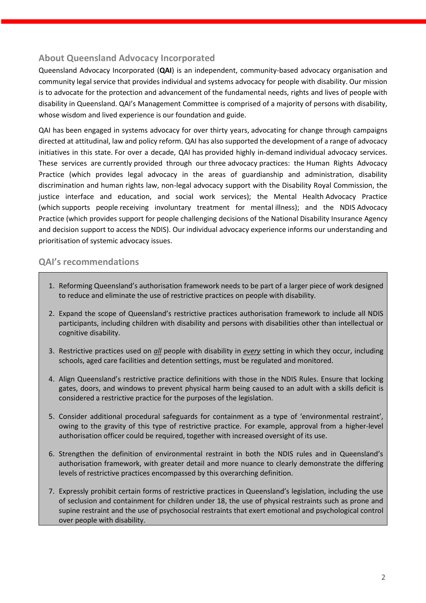### **About Queensland Advocacy Incorporated**

Queensland Advocacy Incorporated (**QAI**) is an independent, community-based advocacy organisation and community legal service that provides individual and systems advocacy for people with disability. Our mission is to advocate for the protection and advancement of the fundamental needs, rights and lives of people with disability in Queensland. QAI's Management Committee is comprised of a majority of persons with disability, whose wisdom and lived experience is our foundation and guide.

QAI has been engaged in systems advocacy for over thirty years, advocating for change through campaigns directed at attitudinal, law and policy reform. QAI has also supported the development of a range of advocacy initiatives in this state. For over a decade, QAI has provided highly in-demand individual advocacy services. These services are currently provided through our three advocacy practices: the Human Rights Advocacy Practice (which provides legal advocacy in the areas of guardianship and administration, disability discrimination and human rights law, non-legal advocacy support with the Disability Royal Commission, the justice interface and education, and social work services); the Mental Health Advocacy Practice (which supports people receiving involuntary treatment for mental illness); and the NDIS Advocacy Practice (which provides support for people challenging decisions of the National Disability Insurance Agency and decision support to access the NDIS). Our individual advocacy experience informs our understanding and prioritisation of systemic advocacy issues. 

### **QAI's recommendations**

- 1. Reforming Queensland's authorisation framework needs to be part of a larger piece of work designed to reduce and eliminate the use of restrictive practices on people with disability.
- 2. Expand the scope of Queensland's restrictive practices authorisation framework to include all NDIS participants, including children with disability and persons with disabilities other than intellectual or cognitive disability.
- 3. Restrictive practices used on *all* people with disability in *every* setting in which they occur, including schools, aged care facilities and detention settings, must be regulated and monitored.
- 4. Align Queensland's restrictive practice definitions with those in the NDIS Rules. Ensure that locking gates, doors, and windows to prevent physical harm being caused to an adult with a skills deficit is considered a restrictive practice for the purposes of the legislation.
- 5. Consider additional procedural safeguards for containment as a type of 'environmental restraint', owing to the gravity of this type of restrictive practice. For example, approval from a higher-level authorisation officer could be required, together with increased oversight of its use.
- 6. Strengthen the definition of environmental restraint in both the NDIS rules and in Queensland's authorisation framework, with greater detail and more nuance to clearly demonstrate the differing levels of restrictive practices encompassed by this overarching definition.
- 7. Expressly prohibit certain forms of restrictive practices in Queensland's legislation, including the use of seclusion and containment for children under 18, the use of physical restraints such as prone and supine restraint and the use of psychosocial restraints that exert emotional and psychological control over people with disability.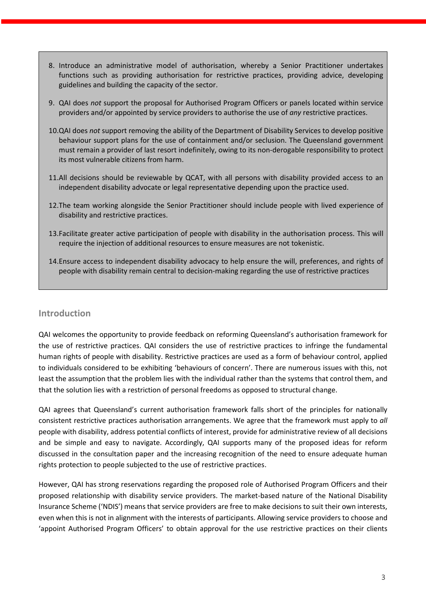- 8. Introduce an administrative model of authorisation, whereby a Senior Practitioner undertakes functions such as providing authorisation for restrictive practices, providing advice, developing guidelines and building the capacity of the sector.
- 9. QAI does *not* support the proposal for Authorised Program Officers or panels located within service providers and/or appointed by service providers to authorise the use of *any* restrictive practices.
- 10.QAI does *not* support removing the ability of the Department of Disability Services to develop positive behaviour support plans for the use of containment and/or seclusion. The Queensland government must remain a provider of last resort indefinitely, owing to its non-derogable responsibility to protect its most vulnerable citizens from harm.
- 11.All decisions should be reviewable by QCAT, with all persons with disability provided access to an independent disability advocate or legal representative depending upon the practice used.
- 12.The team working alongside the Senior Practitioner should include people with lived experience of disability and restrictive practices.
- 13.Facilitate greater active participation of people with disability in the authorisation process. This will require the injection of additional resources to ensure measures are not tokenistic.
- 14.Ensure access to independent disability advocacy to help ensure the will, preferences, and rights of people with disability remain central to decision-making regarding the use of restrictive practices

#### **Introduction**

QAI welcomes the opportunity to provide feedback on reforming Queensland's authorisation framework for the use of restrictive practices. QAI considers the use of restrictive practices to infringe the fundamental human rights of people with disability. Restrictive practices are used as a form of behaviour control, applied to individuals considered to be exhibiting 'behaviours of concern'. There are numerous issues with this, not least the assumption that the problem lies with the individual rather than the systems that control them, and that the solution lies with a restriction of personal freedoms as opposed to structural change.

QAI agrees that Queensland's current authorisation framework falls short of the principles for nationally consistent restrictive practices authorisation arrangements. We agree that the framework must apply to *all*  people with disability, address potential conflicts of interest, provide for administrative review of all decisions and be simple and easy to navigate. Accordingly, QAI supports many of the proposed ideas for reform discussed in the consultation paper and the increasing recognition of the need to ensure adequate human rights protection to people subjected to the use of restrictive practices.

However, QAI has strong reservations regarding the proposed role of Authorised Program Officers and their proposed relationship with disability service providers. The market-based nature of the National Disability Insurance Scheme ('NDIS') means that service providers are free to make decisions to suit their own interests, even when this is not in alignment with the interests of participants. Allowing service providers to choose and 'appoint Authorised Program Officers' to obtain approval for the use restrictive practices on their clients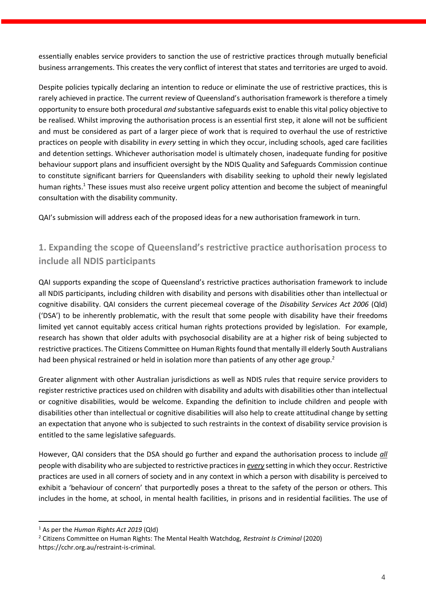essentially enables service providers to sanction the use of restrictive practices through mutually beneficial business arrangements. This creates the very conflict of interest that states and territories are urged to avoid.

Despite policies typically declaring an intention to reduce or eliminate the use of restrictive practices, this is rarely achieved in practice. The current review of Queensland's authorisation framework is therefore a timely opportunity to ensure both procedural *and* substantive safeguards exist to enable this vital policy objective to be realised. Whilst improving the authorisation process is an essential first step, it alone will not be sufficient and must be considered as part of a larger piece of work that is required to overhaul the use of restrictive practices on people with disability in *every* setting in which they occur, including schools, aged care facilities and detention settings. Whichever authorisation model is ultimately chosen, inadequate funding for positive behaviour support plans and insufficient oversight by the NDIS Quality and Safeguards Commission continue to constitute significant barriers for Queenslanders with disability seeking to uphold their newly legislated human rights.<sup>1</sup> These issues must also receive urgent policy attention and become the subject of meaningful consultation with the disability community.

QAI's submission will address each of the proposed ideas for a new authorisation framework in turn.

## **1. Expanding the scope of Queensland's restrictive practice authorisation process to include all NDIS participants**

QAI supports expanding the scope of Queensland's restrictive practices authorisation framework to include all NDIS participants, including children with disability and persons with disabilities other than intellectual or cognitive disability. QAI considers the current piecemeal coverage of the *Disability Services Act 2006* (Qld) ('DSA') to be inherently problematic, with the result that some people with disability have their freedoms limited yet cannot equitably access critical human rights protections provided by legislation. For example, research has shown that older adults with psychosocial disability are at a higher risk of being subjected to restrictive practices. The Citizens Committee on Human Rights found that mentally ill elderly South Australians had been physical restrained or held in isolation more than patients of any other age group.<sup>2</sup>

Greater alignment with other Australian jurisdictions as well as NDIS rules that require service providers to register restrictive practices used on children with disability and adults with disabilities other than intellectual or cognitive disabilities, would be welcome. Expanding the definition to include children and people with disabilities other than intellectual or cognitive disabilities will also help to create attitudinal change by setting an expectation that anyone who is subjected to such restraints in the context of disability service provision is entitled to the same legislative safeguards.

However, QAI considers that the DSA should go further and expand the authorisation process to include *all* people with disability who are subjected to restrictive practices in *every* setting in which they occur. Restrictive practices are used in all corners of society and in any context in which a person with disability is perceived to exhibit a 'behaviour of concern' that purportedly poses a threat to the safety of the person or others. This includes in the home, at school, in mental health facilities, in prisons and in residential facilities. The use of

<sup>1</sup> As per the *Human Rights Act 2019* (Qld)

<sup>2</sup> Citizens Committee on Human Rights: The Mental Health Watchdog, *Restraint Is Criminal* (2020) https://cchr.org.au/restraint-is-criminal.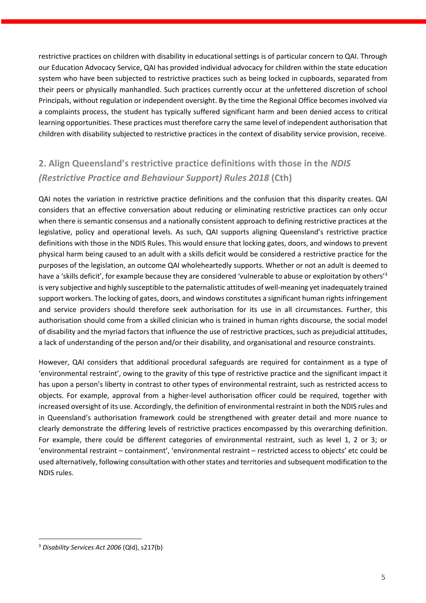restrictive practices on children with disability in educational settings is of particular concern to QAI. Through our Education Advocacy Service, QAI has provided individual advocacy for children within the state education system who have been subjected to restrictive practices such as being locked in cupboards, separated from their peers or physically manhandled. Such practices currently occur at the unfettered discretion of school Principals, without regulation or independent oversight. By the time the Regional Office becomes involved via a complaints process, the student has typically suffered significant harm and been denied access to critical learning opportunities. These practices must therefore carry the same level of independent authorisation that children with disability subjected to restrictive practices in the context of disability service provision, receive.

# **2. Align Queensland's restrictive practice definitions with those in the** *NDIS (Restrictive Practice and Behaviour Support) Rules 2018* **(Cth)**

QAI notes the variation in restrictive practice definitions and the confusion that this disparity creates. QAI considers that an effective conversation about reducing or eliminating restrictive practices can only occur when there is semantic consensus and a nationally consistent approach to defining restrictive practices at the legislative, policy and operational levels. As such, QAI supports aligning Queensland's restrictive practice definitions with those in the NDIS Rules. This would ensure that locking gates, doors, and windows to prevent physical harm being caused to an adult with a skills deficit would be considered a restrictive practice for the purposes of the legislation, an outcome QAI wholeheartedly supports. Whether or not an adult is deemed to have a 'skills deficit', for example because they are considered 'vulnerable to abuse or exploitation by others'<sup>3</sup> is very subjective and highly susceptible to the paternalistic attitudes of well-meaning yet inadequately trained support workers. The locking of gates, doors, and windows constitutes a significant human rights infringement and service providers should therefore seek authorisation for its use in all circumstances. Further, this authorisation should come from a skilled clinician who is trained in human rights discourse, the social model of disability and the myriad factors that influence the use of restrictive practices, such as prejudicial attitudes, a lack of understanding of the person and/or their disability, and organisational and resource constraints.

However, QAI considers that additional procedural safeguards are required for containment as a type of 'environmental restraint', owing to the gravity of this type of restrictive practice and the significant impact it has upon a person's liberty in contrast to other types of environmental restraint, such as restricted access to objects. For example, approval from a higher-level authorisation officer could be required, together with increased oversight of its use. Accordingly, the definition of environmental restraint in both the NDIS rules and in Queensland's authorisation framework could be strengthened with greater detail and more nuance to clearly demonstrate the differing levels of restrictive practices encompassed by this overarching definition. For example, there could be different categories of environmental restraint, such as level 1, 2 or 3; or 'environmental restraint – containment', 'environmental restraint – restricted access to objects' etc could be used alternatively, following consultation with other states and territories and subsequent modification to the NDIS rules.

<sup>3</sup> *Disability Services Act 2006* (Qld), s217(b)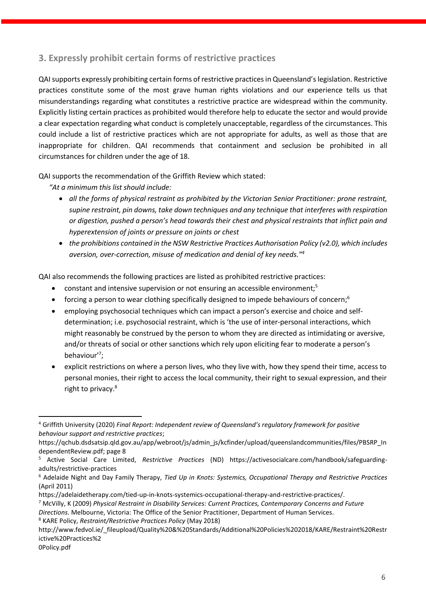## **3. Expressly prohibit certain forms of restrictive practices**

QAI supports expressly prohibiting certain forms of restrictive practices in Queensland's legislation. Restrictive practices constitute some of the most grave human rights violations and our experience tells us that misunderstandings regarding what constitutes a restrictive practice are widespread within the community. Explicitly listing certain practices as prohibited would therefore help to educate the sector and would provide a clear expectation regarding what conduct is completely unacceptable, regardless of the circumstances. This could include a list of restrictive practices which are not appropriate for adults, as well as those that are inappropriate for children. QAI recommends that containment and seclusion be prohibited in all circumstances for children under the age of 18.

QAI supports the recommendation of the Griffith Review which stated:

*"At a minimum this list should include:* 

- *all the forms of physical restraint as prohibited by the Victorian Senior Practitioner: prone restraint, supine restraint, pin downs, take down techniques and any technique that interferes with respiration or digestion, pushed a person's head towards their chest and physical restraints that inflict pain and hyperextension of joints or pressure on joints or chest*
- *the prohibitions contained in the NSW Restrictive Practices Authorisation Policy (v2.0), which includes aversion, over-correction, misuse of medication and denial of key needs."<sup>4</sup>*

QAI also recommends the following practices are listed as prohibited restrictive practices:

- constant and intensive supervision or not ensuring an accessible environment;<sup>5</sup>
- forcing a person to wear clothing specifically designed to impede behaviours of concern;<sup>6</sup>
- employing psychosocial techniques which can impact a person's exercise and choice and selfdetermination; i.e. psychosocial restraint, which is 'the use of inter-personal interactions, which might reasonably be construed by the person to whom they are directed as intimidating or aversive, and/or threats of social or other sanctions which rely upon eliciting fear to moderate a person's behaviour' 7 ;
- explicit restrictions on where a person lives, who they live with, how they spend their time, access to personal monies, their right to access the local community, their right to sexual expression, and their right to privacy.<sup>8</sup>

<sup>8</sup> KARE Policy, *Restraint/Restrictive Practices Policy* (May 2018)

0Policy.pdf

<sup>4</sup> Griffith University (2020) *Final Report: Independent review of Queensland's regulatory framework for positive behaviour support and restrictive practices*;

https://qchub.dsdsatsip.qld.gov.au/app/webroot/js/admin\_js/kcfinder/upload/queenslandcommunities/files/PBSRP\_In dependentReview.pdf; page 8

<sup>5</sup> Active Social Care Limited, *Restrictive Practices* (ND) https://activesocialcare.com/handbook/safeguardingadults/restrictive-practices

<sup>6</sup> Adelaide Night and Day Family Therapy, *Tied Up in Knots: Systemics, Occupational Therapy and Restrictive Practices*  (April 2011)

https://adelaidetherapy.com/tied-up-in-knots-systemics-occupational-therapy-and-restrictive-practices/.

<sup>7</sup> McVilly, K (2009) *Physical Restraint in Disability Services: Current Practices, Contemporary Concerns and Future Directions*. Melbourne, Victoria: The Office of the Senior Practitioner, Department of Human Services.

http://www.fedvol.ie/\_fileupload/Quality%20&%20Standards/Additional%20Policies%202018/KARE/Restraint%20Restr ictive%20Practices%2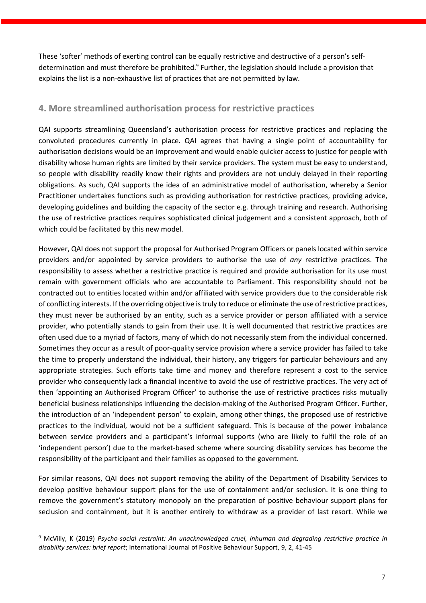These 'softer' methods of exerting control can be equally restrictive and destructive of a person's selfdetermination and must therefore be prohibited.<sup>9</sup> Further, the legislation should include a provision that explains the list is a non-exhaustive list of practices that are not permitted by law.

#### **4. More streamlined authorisation process for restrictive practices**

QAI supports streamlining Queensland's authorisation process for restrictive practices and replacing the convoluted procedures currently in place. QAI agrees that having a single point of accountability for authorisation decisions would be an improvement and would enable quicker access to justice for people with disability whose human rights are limited by their service providers. The system must be easy to understand, so people with disability readily know their rights and providers are not unduly delayed in their reporting obligations. As such, QAI supports the idea of an administrative model of authorisation, whereby a Senior Practitioner undertakes functions such as providing authorisation for restrictive practices, providing advice, developing guidelines and building the capacity of the sector e.g. through training and research. Authorising the use of restrictive practices requires sophisticated clinical judgement and a consistent approach, both of which could be facilitated by this new model.

However, QAI does not support the proposal for Authorised Program Officers or panels located within service providers and/or appointed by service providers to authorise the use of *any* restrictive practices. The responsibility to assess whether a restrictive practice is required and provide authorisation for its use must remain with government officials who are accountable to Parliament. This responsibility should not be contracted out to entities located within and/or affiliated with service providers due to the considerable risk of conflicting interests. If the overriding objective is truly to reduce or eliminate the use of restrictive practices, they must never be authorised by an entity, such as a service provider or person affiliated with a service provider, who potentially stands to gain from their use. It is well documented that restrictive practices are often used due to a myriad of factors, many of which do not necessarily stem from the individual concerned. Sometimes they occur as a result of poor-quality service provision where a service provider has failed to take the time to properly understand the individual, their history, any triggers for particular behaviours and any appropriate strategies. Such efforts take time and money and therefore represent a cost to the service provider who consequently lack a financial incentive to avoid the use of restrictive practices. The very act of then 'appointing an Authorised Program Officer' to authorise the use of restrictive practices risks mutually beneficial business relationships influencing the decision-making of the Authorised Program Officer. Further, the introduction of an 'independent person' to explain, among other things, the proposed use of restrictive practices to the individual, would not be a sufficient safeguard. This is because of the power imbalance between service providers and a participant's informal supports (who are likely to fulfil the role of an 'independent person') due to the market-based scheme where sourcing disability services has become the responsibility of the participant and their families as opposed to the government.

For similar reasons, QAI does not support removing the ability of the Department of Disability Services to develop positive behaviour support plans for the use of containment and/or seclusion. It is one thing to remove the government's statutory monopoly on the preparation of positive behaviour support plans for seclusion and containment, but it is another entirely to withdraw as a provider of last resort. While we

<sup>9</sup> McVilly, K (2019) *Psycho-social restraint: An unacknowledged cruel, inhuman and degrading restrictive practice in disability services: brief report*; International Journal of Positive Behaviour Support, 9, 2, 41-45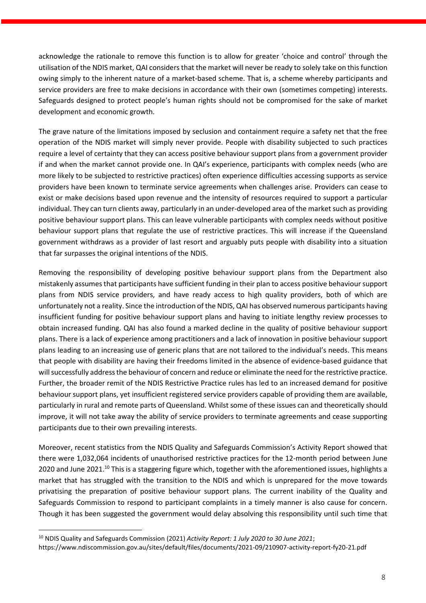acknowledge the rationale to remove this function is to allow for greater 'choice and control' through the utilisation of the NDIS market, QAI considers that the market will never be ready to solely take on this function owing simply to the inherent nature of a market-based scheme. That is, a scheme whereby participants and service providers are free to make decisions in accordance with their own (sometimes competing) interests. Safeguards designed to protect people's human rights should not be compromised for the sake of market development and economic growth.

The grave nature of the limitations imposed by seclusion and containment require a safety net that the free operation of the NDIS market will simply never provide. People with disability subjected to such practices require a level of certainty that they can access positive behaviour support plans from a government provider if and when the market cannot provide one. In QAI's experience, participants with complex needs (who are more likely to be subjected to restrictive practices) often experience difficulties accessing supports as service providers have been known to terminate service agreements when challenges arise. Providers can cease to exist or make decisions based upon revenue and the intensity of resources required to support a particular individual. They can turn clients away, particularly in an under-developed area of the market such as providing positive behaviour support plans. This can leave vulnerable participants with complex needs without positive behaviour support plans that regulate the use of restrictive practices. This will increase if the Queensland government withdraws as a provider of last resort and arguably puts people with disability into a situation that far surpasses the original intentions of the NDIS.

Removing the responsibility of developing positive behaviour support plans from the Department also mistakenly assumes that participants have sufficient funding in their plan to access positive behaviour support plans from NDIS service providers, and have ready access to high quality providers, both of which are unfortunately not a reality. Since the introduction of the NDIS, QAI has observed numerous participants having insufficient funding for positive behaviour support plans and having to initiate lengthy review processes to obtain increased funding. QAI has also found a marked decline in the quality of positive behaviour support plans. There is a lack of experience among practitioners and a lack of innovation in positive behaviour support plans leading to an increasing use of generic plans that are not tailored to the individual's needs. This means that people with disability are having their freedoms limited in the absence of evidence-based guidance that will successfully address the behaviour of concern and reduce or eliminate the need for the restrictive practice. Further, the broader remit of the NDIS Restrictive Practice rules has led to an increased demand for positive behaviour support plans, yet insufficient registered service providers capable of providing them are available, particularly in rural and remote parts of Queensland. Whilst some of these issues can and theoretically should improve, it will not take away the ability of service providers to terminate agreements and cease supporting participants due to their own prevailing interests.

Moreover, recent statistics from the NDIS Quality and Safeguards Commission's Activity Report showed that there were 1,032,064 incidents of unauthorised restrictive practices for the 12-month period between June 2020 and June 2021.<sup>10</sup> This is a staggering figure which, together with the aforementioned issues, highlights a market that has struggled with the transition to the NDIS and which is unprepared for the move towards privatising the preparation of positive behaviour support plans. The current inability of the Quality and Safeguards Commission to respond to participant complaints in a timely manner is also cause for concern. Though it has been suggested the government would delay absolving this responsibility until such time that

<sup>10</sup> NDIS Quality and Safeguards Commission (2021) *Activity Report: 1 July 2020 to 30 June 2021*;

https://www.ndiscommission.gov.au/sites/default/files/documents/2021-09/210907-activity-report-fy20-21.pdf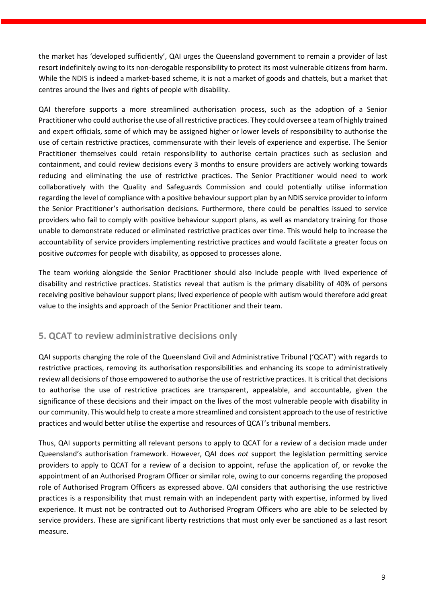the market has 'developed sufficiently', QAI urges the Queensland government to remain a provider of last resort indefinitely owing to its non-derogable responsibility to protect its most vulnerable citizens from harm. While the NDIS is indeed a market-based scheme, it is not a market of goods and chattels, but a market that centres around the lives and rights of people with disability.

QAI therefore supports a more streamlined authorisation process, such as the adoption of a Senior Practitioner who could authorise the use of all restrictive practices. They could oversee a team of highly trained and expert officials, some of which may be assigned higher or lower levels of responsibility to authorise the use of certain restrictive practices, commensurate with their levels of experience and expertise. The Senior Practitioner themselves could retain responsibility to authorise certain practices such as seclusion and containment, and could review decisions every 3 months to ensure providers are actively working towards reducing and eliminating the use of restrictive practices. The Senior Practitioner would need to work collaboratively with the Quality and Safeguards Commission and could potentially utilise information regarding the level of compliance with a positive behaviour support plan by an NDIS service provider to inform the Senior Practitioner's authorisation decisions. Furthermore, there could be penalties issued to service providers who fail to comply with positive behaviour support plans, as well as mandatory training for those unable to demonstrate reduced or eliminated restrictive practices over time. This would help to increase the accountability of service providers implementing restrictive practices and would facilitate a greater focus on positive *outcomes* for people with disability, as opposed to processes alone.

The team working alongside the Senior Practitioner should also include people with lived experience of disability and restrictive practices. Statistics reveal that autism is the primary disability of 40% of persons receiving positive behaviour support plans; lived experience of people with autism would therefore add great value to the insights and approach of the Senior Practitioner and their team.

### **5. QCAT to review administrative decisions only**

QAI supports changing the role of the Queensland Civil and Administrative Tribunal ('QCAT') with regards to restrictive practices, removing its authorisation responsibilities and enhancing its scope to administratively review all decisions of those empowered to authorise the use of restrictive practices. It is critical that decisions to authorise the use of restrictive practices are transparent, appealable, and accountable, given the significance of these decisions and their impact on the lives of the most vulnerable people with disability in our community. This would help to create a more streamlined and consistent approach to the use of restrictive practices and would better utilise the expertise and resources of QCAT's tribunal members.

Thus, QAI supports permitting all relevant persons to apply to QCAT for a review of a decision made under Queensland's authorisation framework. However, QAI does *not* support the legislation permitting service providers to apply to QCAT for a review of a decision to appoint, refuse the application of, or revoke the appointment of an Authorised Program Officer or similar role, owing to our concerns regarding the proposed role of Authorised Program Officers as expressed above. QAI considers that authorising the use restrictive practices is a responsibility that must remain with an independent party with expertise, informed by lived experience. It must not be contracted out to Authorised Program Officers who are able to be selected by service providers. These are significant liberty restrictions that must only ever be sanctioned as a last resort measure.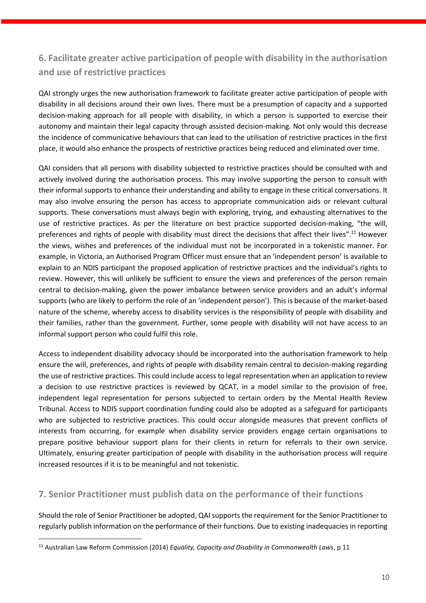## **6. Facilitate greater active participation of people with disability in the authorisation and use of restrictive practices**

QAI strongly urges the new authorisation framework to facilitate greater active participation of people with disability in all decisions around their own lives. There must be a presumption of capacity and a supported decision-making approach for all people with disability, in which a person is supported to exercise their autonomy and maintain their legal capacity through assisted decision-making. Not only would this decrease the incidence of communicative behaviours that can lead to the utilisation of restrictive practices in the first place, it would also enhance the prospects of restrictive practices being reduced and eliminated over time.

QAI considers that all persons with disability subjected to restrictive practices should be consulted with and actively involved during the authorisation process. This may involve supporting the person to consult with their informal supports to enhance their understanding and ability to engage in these critical conversations. It may also involve ensuring the person has access to appropriate communication aids or relevant cultural supports. These conversations must always begin with exploring, trying, and exhausting alternatives to the use of restrictive practices. As per the literature on best practice supported decision-making, "the will, preferences and rights of people with disability must direct the decisions that affect their lives".<sup>11</sup> However the views, wishes and preferences of the individual must not be incorporated in a tokenistic manner. For example, in Victoria, an Authorised Program Officer must ensure that an 'independent person' is available to explain to an NDIS participant the proposed application of restrictive practices and the individual's rights to review. However, this will unlikely be sufficient to ensure the views and preferences of the person remain central to decision-making, given the power imbalance between service providers and an adult's informal supports (who are likely to perform the role of an 'independent person'). This is because of the market-based nature of the scheme, whereby access to disability services is the responsibility of people with disability and their families, rather than the government. Further, some people with disability will not have access to an informal support person who could fulfil this role.

Access to independent disability advocacy should be incorporated into the authorisation framework to help ensure the will, preferences, and rights of people with disability remain central to decision-making regarding the use of restrictive practices. This could include access to legal representation when an application to review a decision to use restrictive practices is reviewed by QCAT, in a model similar to the provision of free, independent legal representation for persons subjected to certain orders by the Mental Health Review Tribunal. Access to NDIS support coordination funding could also be adopted as a safeguard for participants who are subjected to restrictive practices. This could occur alongside measures that prevent conflicts of interests from occurring, for example when disability service providers engage certain organisations to prepare positive behaviour support plans for their clients in return for referrals to their own service. Ultimately, ensuring greater participation of people with disability in the authorisation process will require increased resources if it is to be meaningful and not tokenistic.

#### **7. Senior Practitioner must publish data on the performance of their functions**

Should the role of Senior Practitioner be adopted, QAI supports the requirement for the Senior Practitioner to regularly publish information on the performance of their functions. Due to existing inadequacies in reporting

<sup>11</sup> Australian Law Reform Commission (2014) *Equality, Capacity and Disability in Commonwealth Laws*, p 11